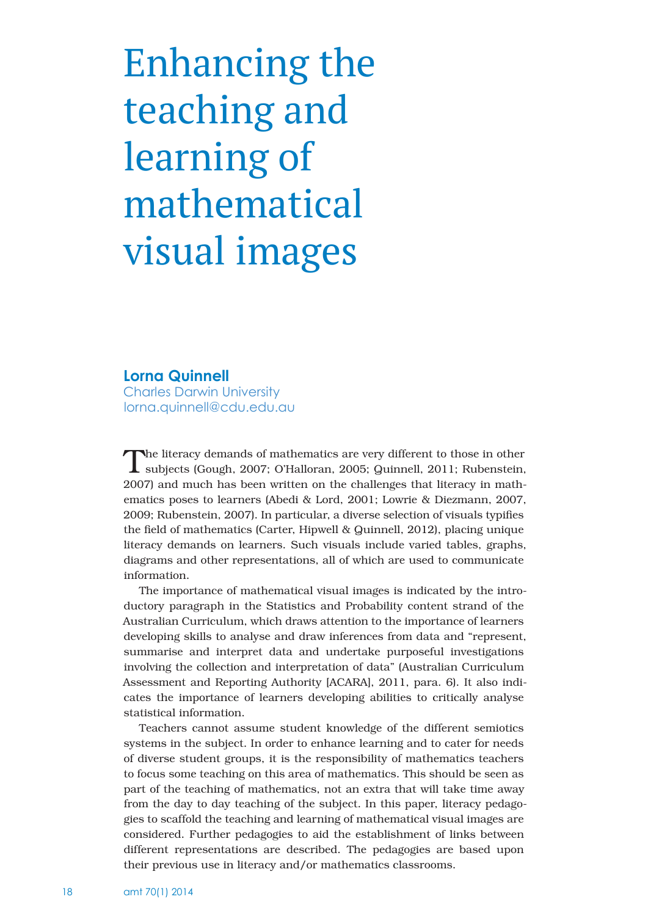# Enhancing the teaching and learning of mathematical visual images

## **Lorna Quinnell**

Charles Darwin University lorna.quinnell@cdu.edu.au

The literacy demands of mathematics are very different to those in other subjects (Gough, 2007; O'Halloran, 2005; Quinnell, 2011; Rubenstein, 2007) and much has been written on the challenges that literacy in mathematics poses to learners (Abedi & Lord, 2001; Lowrie & Diezmann, 2007, 2009; Rubenstein, 2007). In particular, a diverse selection of visuals typifies the field of mathematics (Carter, Hipwell & Quinnell, 2012), placing unique literacy demands on learners. Such visuals include varied tables, graphs, diagrams and other representations, all of which are used to communicate information.

The importance of mathematical visual images is indicated by the introductory paragraph in the Statistics and Probability content strand of the Australian Curriculum, which draws attention to the importance of learners developing skills to analyse and draw inferences from data and "represent, summarise and interpret data and undertake purposeful investigations involving the collection and interpretation of data" (Australian Curriculum Assessment and Reporting Authority [ACARA], 2011, para. 6). It also indicates the importance of learners developing abilities to critically analyse statistical information.

Teachers cannot assume student knowledge of the different semiotics systems in the subject. In order to enhance learning and to cater for needs of diverse student groups, it is the responsibility of mathematics teachers to focus some teaching on this area of mathematics. This should be seen as part of the teaching of mathematics, not an extra that will take time away from the day to day teaching of the subject. In this paper, literacy pedagogies to scaffold the teaching and learning of mathematical visual images are considered. Further pedagogies to aid the establishment of links between different representations are described. The pedagogies are based upon their previous use in literacy and/or mathematics classrooms.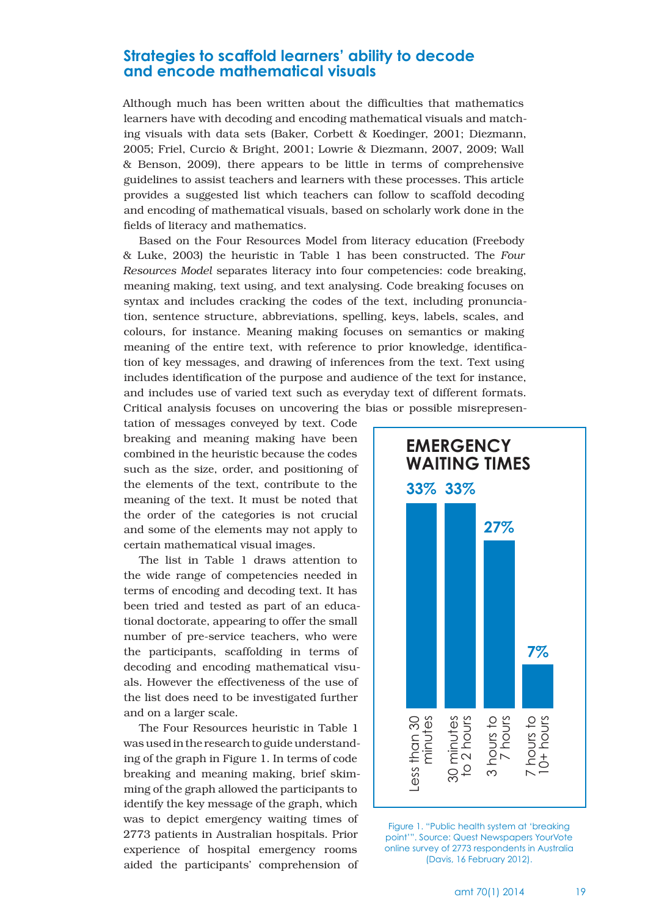## **Strategies to scaffold learners' ability to decode and encode mathematical visuals**

Although much has been written about the difficulties that mathematics learners have with decoding and encoding mathematical visuals and matching visuals with data sets (Baker, Corbett & Koedinger, 2001; Diezmann, 2005; Friel, Curcio & Bright, 2001; Lowrie & Diezmann, 2007, 2009; Wall & Benson, 2009), there appears to be little in terms of comprehensive guidelines to assist teachers and learners with these processes. This article provides a suggested list which teachers can follow to scaffold decoding and encoding of mathematical visuals, based on scholarly work done in the fields of literacy and mathematics.

Based on the Four Resources Model from literacy education (Freebody & Luke, 2003) the heuristic in Table 1 has been constructed. The *Four Resources Model* separates literacy into four competencies: code breaking, meaning making, text using, and text analysing. Code breaking focuses on syntax and includes cracking the codes of the text, including pronunciation, sentence structure, abbreviations, spelling, keys, labels, scales, and colours, for instance. Meaning making focuses on semantics or making meaning of the entire text, with reference to prior knowledge, identification of key messages, and drawing of inferences from the text. Text using includes identification of the purpose and audience of the text for instance, and includes use of varied text such as everyday text of different formats. Critical analysis focuses on uncovering the bias or possible misrepresen-

tation of messages conveyed by text. Code breaking and meaning making have been combined in the heuristic because the codes such as the size, order, and positioning of the elements of the text, contribute to the meaning of the text. It must be noted that the order of the categories is not crucial and some of the elements may not apply to certain mathematical visual images.

The list in Table 1 draws attention to the wide range of competencies needed in terms of encoding and decoding text. It has been tried and tested as part of an educational doctorate, appearing to offer the small number of pre-service teachers, who were the participants, scaffolding in terms of decoding and encoding mathematical visuals. However the effectiveness of the use of the list does need to be investigated further and on a larger scale.

The Four Resources heuristic in Table 1 was used in the research to guide understanding of the graph in Figure 1. In terms of code breaking and meaning making, brief skimming of the graph allowed the participants to identify the key message of the graph, which was to depict emergency waiting times of 2773 patients in Australian hospitals. Prior experience of hospital emergency rooms aided the participants' comprehension of



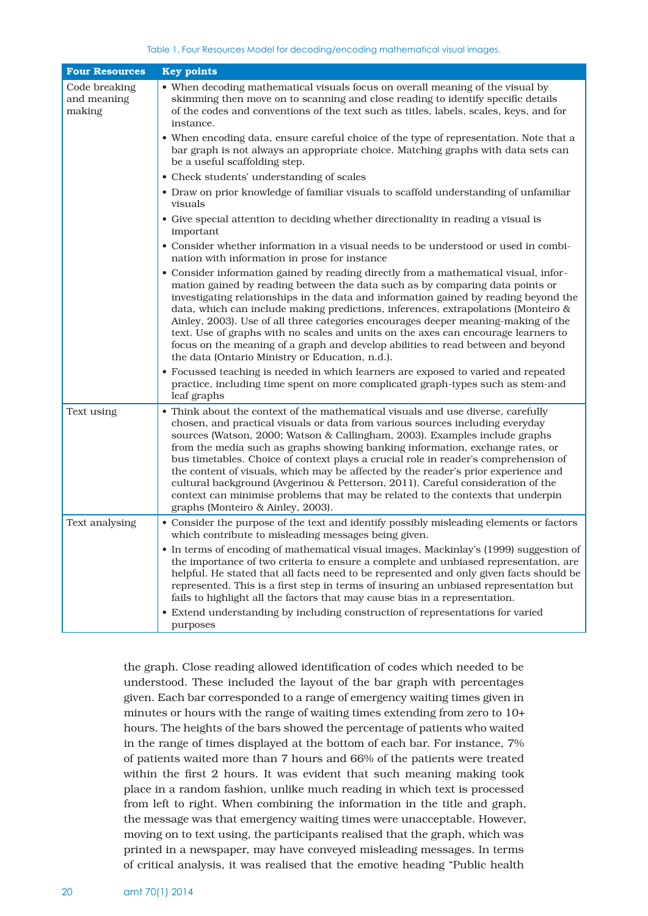| <b>Four Resources</b>                  | <b>Key points</b>                                                                                                                                                                                                                                                                                                                                                                                                                                                                                                                                                                                                                                                                                                        |
|----------------------------------------|--------------------------------------------------------------------------------------------------------------------------------------------------------------------------------------------------------------------------------------------------------------------------------------------------------------------------------------------------------------------------------------------------------------------------------------------------------------------------------------------------------------------------------------------------------------------------------------------------------------------------------------------------------------------------------------------------------------------------|
| Code breaking<br>and meaning<br>making | • When decoding mathematical visuals focus on overall meaning of the visual by<br>skimming then move on to scanning and close reading to identify specific details<br>of the codes and conventions of the text such as titles, labels, scales, keys, and for<br>instance.                                                                                                                                                                                                                                                                                                                                                                                                                                                |
|                                        | • When encoding data, ensure careful choice of the type of representation. Note that a<br>bar graph is not always an appropriate choice. Matching graphs with data sets can<br>be a useful scaffolding step.                                                                                                                                                                                                                                                                                                                                                                                                                                                                                                             |
|                                        | • Check students' understanding of scales                                                                                                                                                                                                                                                                                                                                                                                                                                                                                                                                                                                                                                                                                |
|                                        | • Draw on prior knowledge of familiar visuals to scaffold understanding of unfamiliar<br>visuals                                                                                                                                                                                                                                                                                                                                                                                                                                                                                                                                                                                                                         |
|                                        | • Give special attention to deciding whether directionality in reading a visual is<br>important                                                                                                                                                                                                                                                                                                                                                                                                                                                                                                                                                                                                                          |
|                                        | • Consider whether information in a visual needs to be understood or used in combi-<br>nation with information in prose for instance                                                                                                                                                                                                                                                                                                                                                                                                                                                                                                                                                                                     |
|                                        | • Consider information gained by reading directly from a mathematical visual, infor-<br>mation gained by reading between the data such as by comparing data points or<br>investigating relationships in the data and information gained by reading beyond the<br>data, which can include making predictions, inferences, extrapolations (Monteiro &<br>Ainley, 2003). Use of all three categories encourages deeper meaning-making of the<br>text. Use of graphs with no scales and units on the axes can encourage learners to<br>focus on the meaning of a graph and develop abilities to read between and beyond<br>the data (Ontario Ministry or Education, n.d.).                                                   |
|                                        | • Focussed teaching is needed in which learners are exposed to varied and repeated<br>practice, including time spent on more complicated graph-types such as stem-and<br>leaf graphs                                                                                                                                                                                                                                                                                                                                                                                                                                                                                                                                     |
| Text using                             | • Think about the context of the mathematical visuals and use diverse, carefully<br>chosen, and practical visuals or data from various sources including everyday<br>sources (Watson, 2000; Watson & Callingham, 2003). Examples include graphs<br>from the media such as graphs showing banking information, exchange rates, or<br>bus timetables. Choice of context plays a crucial role in reader's comprehension of<br>the content of visuals, which may be affected by the reader's prior experience and<br>cultural background (Avgerinou & Petterson, 2011). Careful consideration of the<br>context can minimise problems that may be related to the contexts that underpin<br>graphs (Monteiro & Ainley, 2003). |
| Text analysing                         | • Consider the purpose of the text and identify possibly misleading elements or factors<br>which contribute to misleading messages being given.                                                                                                                                                                                                                                                                                                                                                                                                                                                                                                                                                                          |
|                                        | • In terms of encoding of mathematical visual images, Mackinlay's (1999) suggestion of<br>the importance of two criteria to ensure a complete and unbiased representation, are<br>helpful. He stated that all facts need to be represented and only given facts should be<br>represented. This is a first step in terms of insuring an unbiased representation but<br>fails to highlight all the factors that may cause bias in a representation.                                                                                                                                                                                                                                                                        |
|                                        | • Extend understanding by including construction of representations for varied<br>purposes                                                                                                                                                                                                                                                                                                                                                                                                                                                                                                                                                                                                                               |

the graph. Close reading allowed identification of codes which needed to be understood. These included the layout of the bar graph with percentages given. Each bar corresponded to a range of emergency waiting times given in minutes or hours with the range of waiting times extending from zero to 10+ hours. The heights of the bars showed the percentage of patients who waited in the range of times displayed at the bottom of each bar. For instance, 7% of patients waited more than 7 hours and 66% of the patients were treated within the first 2 hours. It was evident that such meaning making took place in a random fashion, unlike much reading in which text is processed from left to right. When combining the information in the title and graph, the message was that emergency waiting times were unacceptable. However, moving on to text using, the participants realised that the graph, which was printed in a newspaper, may have conveyed misleading messages. In terms of critical analysis, it was realised that the emotive heading "Public health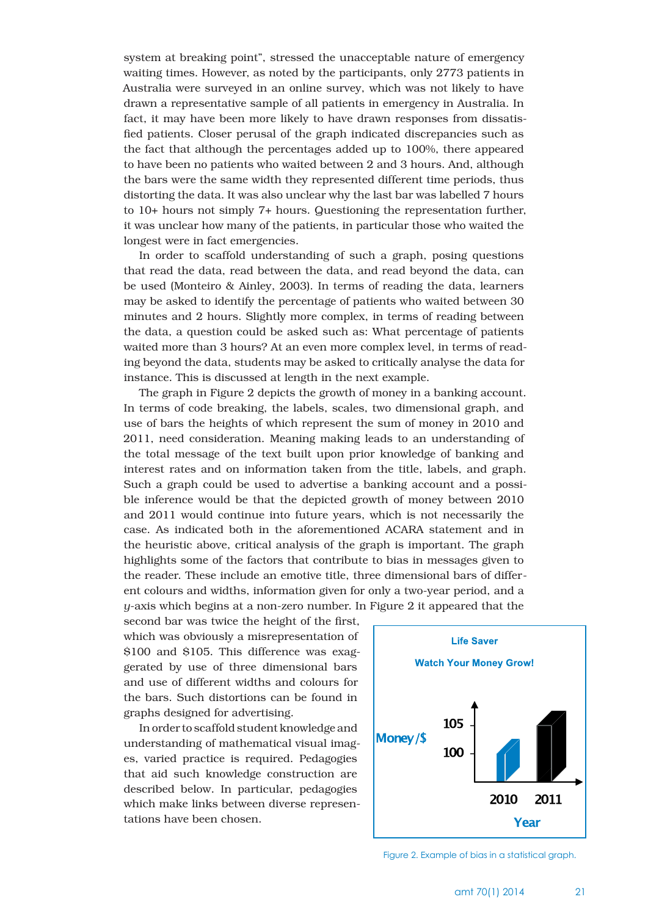system at breaking point", stressed the unacceptable nature of emergency waiting times. However, as noted by the participants, only 2773 patients in Australia were surveyed in an online survey, which was not likely to have drawn a representative sample of all patients in emergency in Australia. In fact, it may have been more likely to have drawn responses from dissatisfied patients. Closer perusal of the graph indicated discrepancies such as the fact that although the percentages added up to 100%, there appeared to have been no patients who waited between 2 and 3 hours. And, although the bars were the same width they represented different time periods, thus distorting the data. It was also unclear why the last bar was labelled 7 hours to 10+ hours not simply 7+ hours. Questioning the representation further, it was unclear how many of the patients, in particular those who waited the longest were in fact emergencies.

In order to scaffold understanding of such a graph, posing questions that read the data, read between the data, and read beyond the data, can be used (Monteiro & Ainley, 2003). In terms of reading the data, learners may be asked to identify the percentage of patients who waited between 30 minutes and 2 hours. Slightly more complex, in terms of reading between the data, a question could be asked such as: What percentage of patients waited more than 3 hours? At an even more complex level, in terms of reading beyond the data, students may be asked to critically analyse the data for instance. This is discussed at length in the next example.

The graph in Figure 2 depicts the growth of money in a banking account. In terms of code breaking, the labels, scales, two dimensional graph, and use of bars the heights of which represent the sum of money in 2010 and 2011, need consideration. Meaning making leads to an understanding of the total message of the text built upon prior knowledge of banking and interest rates and on information taken from the title, labels, and graph. Such a graph could be used to advertise a banking account and a possible inference would be that the depicted growth of money between 2010 and 2011 would continue into future years, which is not necessarily the case. As indicated both in the aforementioned ACARA statement and in the heuristic above, critical analysis of the graph is important. The graph highlights some of the factors that contribute to bias in messages given to the reader. These include an emotive title, three dimensional bars of different colours and widths, information given for only a two-year period, and a *y*-axis which begins at a non-zero number. In Figure 2 it appeared that the

second bar was twice the height of the first, which was obviously a misrepresentation of \$100 and \$105. This difference was exaggerated by use of three dimensional bars and use of different widths and colours for the bars. Such distortions can be found in graphs designed for advertising.

In order to scaffold student knowledge and understanding of mathematical visual images, varied practice is required. Pedagogies that aid such knowledge construction are described below. In particular, pedagogies which make links between diverse representations have been chosen.



Figure 2. Example of bias in a statistical graph.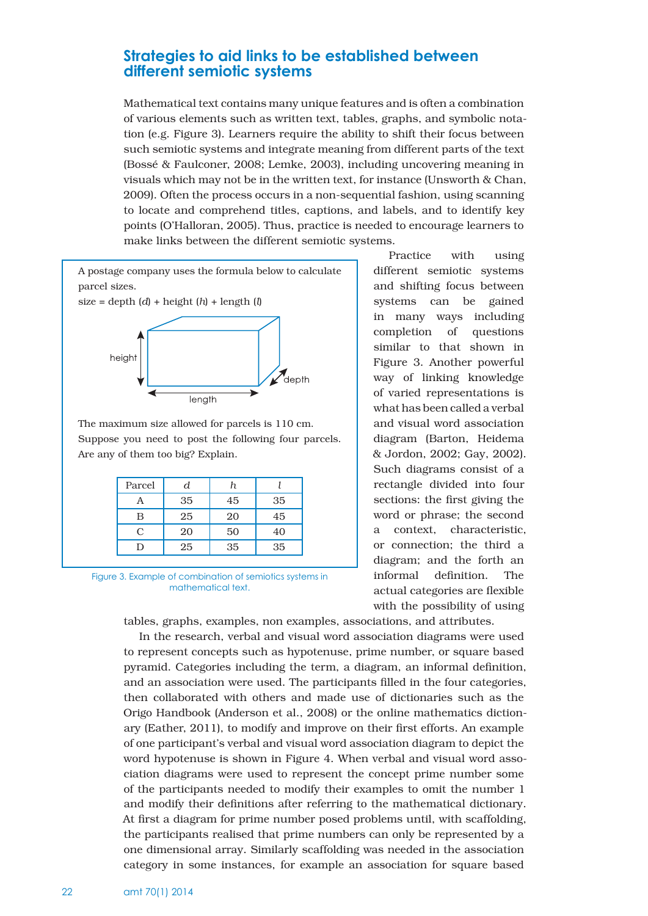## **Strategies to aid links to be established between different semiotic systems**

Mathematical text contains many unique features and is often a combination of various elements such as written text, tables, graphs, and symbolic notation (e.g. Figure 3). Learners require the ability to shift their focus between such semiotic systems and integrate meaning from different parts of the text (Bossé & Faulconer, 2008; Lemke, 2003), including uncovering meaning in visuals which may not be in the written text, for instance (Unsworth & Chan, 2009). Often the process occurs in a non-sequential fashion, using scanning to locate and comprehend titles, captions, and labels, and to identify key points (O'Halloran, 2005). Thus, practice is needed to encourage learners to make links between the different semiotic systems.



The maximum size allowed for parcels is 110 cm. Suppose you need to post the following four parcels. Are any of them too big? Explain.

| Parcel    | d  |    |    |
|-----------|----|----|----|
| A         | 35 | 45 | 35 |
| B         | 25 | 20 | 45 |
| $\subset$ | 20 | 50 | 40 |
|           | 25 | 35 | 35 |

Figure 3. Example of combination of semiotics systems in mathematical text.

Practice with using different semiotic systems and shifting focus between systems can be gained in many ways including completion of questions similar to that shown in Figure 3. Another powerful way of linking knowledge of varied representations is what has been called a verbal and visual word association diagram (Barton, Heidema & Jordon, 2002; Gay, 2002). Such diagrams consist of a rectangle divided into four sections: the first giving the word or phrase; the second a context, characteristic, or connection; the third a diagram; and the forth an informal definition. The actual categories are flexible with the possibility of using

tables, graphs, examples, non examples, associations, and attributes.

In the research, verbal and visual word association diagrams were used to represent concepts such as hypotenuse, prime number, or square based pyramid. Categories including the term, a diagram, an informal definition, and an association were used. The participants filled in the four categories, then collaborated with others and made use of dictionaries such as the Origo Handbook (Anderson et al., 2008) or the online mathematics dictionary (Eather, 2011), to modify and improve on their first efforts. An example of one participant's verbal and visual word association diagram to depict the word hypotenuse is shown in Figure 4. When verbal and visual word association diagrams were used to represent the concept prime number some of the participants needed to modify their examples to omit the number 1 and modify their definitions after referring to the mathematical dictionary. At first a diagram for prime number posed problems until, with scaffolding, the participants realised that prime numbers can only be represented by a one dimensional array. Similarly scaffolding was needed in the association category in some instances, for example an association for square based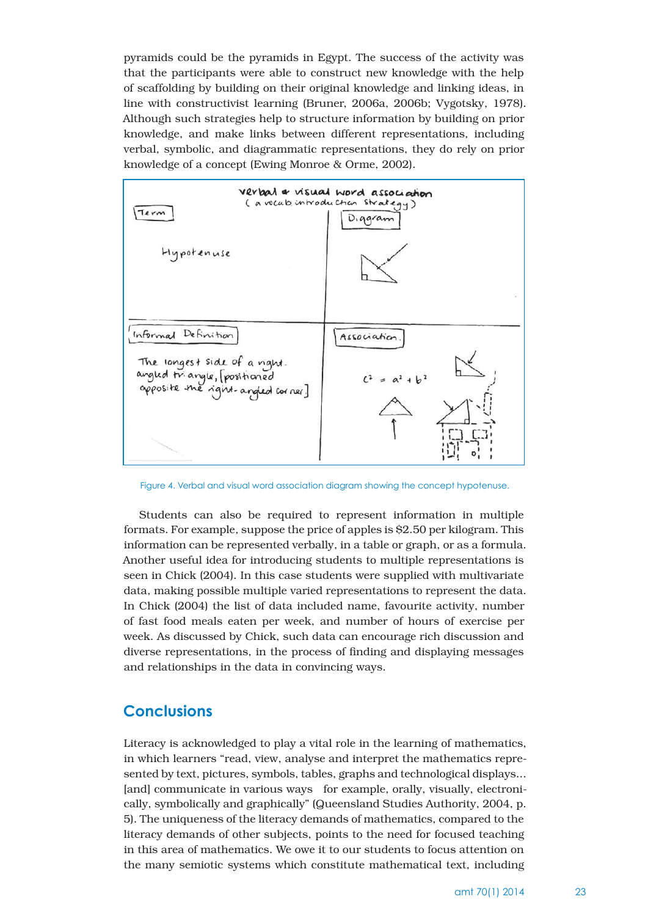pyramids could be the pyramids in Egypt. The success of the activity was that the participants were able to construct new knowledge with the help of scaffolding by building on their original knowledge and linking ideas, in line with constructivist learning (Bruner, 2006a, 2006b; Vygotsky, 1978). Although such strategies help to structure information by building on prior knowledge, and make links between different representations, including verbal, symbolic, and diagrammatic representations, they do rely on prior knowledge of a concept (Ewing Monroe & Orme, 2002).



Figure 4. Verbal and visual word association diagram showing the concept hypotenuse.

Students can also be required to represent information in multiple formats. For example, suppose the price of apples is \$2.50 per kilogram. This information can be represented verbally, in a table or graph, or as a formula. Another useful idea for introducing students to multiple representations is seen in Chick (2004). In this case students were supplied with multivariate data, making possible multiple varied representations to represent the data. In Chick (2004) the list of data included name, favourite activity, number of fast food meals eaten per week, and number of hours of exercise per week. As discussed by Chick, such data can encourage rich discussion and diverse representations, in the process of finding and displaying messages and relationships in the data in convincing ways.

## **Conclusions**

Literacy is acknowledged to play a vital role in the learning of mathematics, in which learners "read, view, analyse and interpret the mathematics represented by text, pictures, symbols, tables, graphs and technological displays... [and] communicate in various ways for example, orally, visually, electronically, symbolically and graphically" (Queensland Studies Authority, 2004, p. 5). The uniqueness of the literacy demands of mathematics, compared to the literacy demands of other subjects, points to the need for focused teaching in this area of mathematics. We owe it to our students to focus attention on the many semiotic systems which constitute mathematical text, including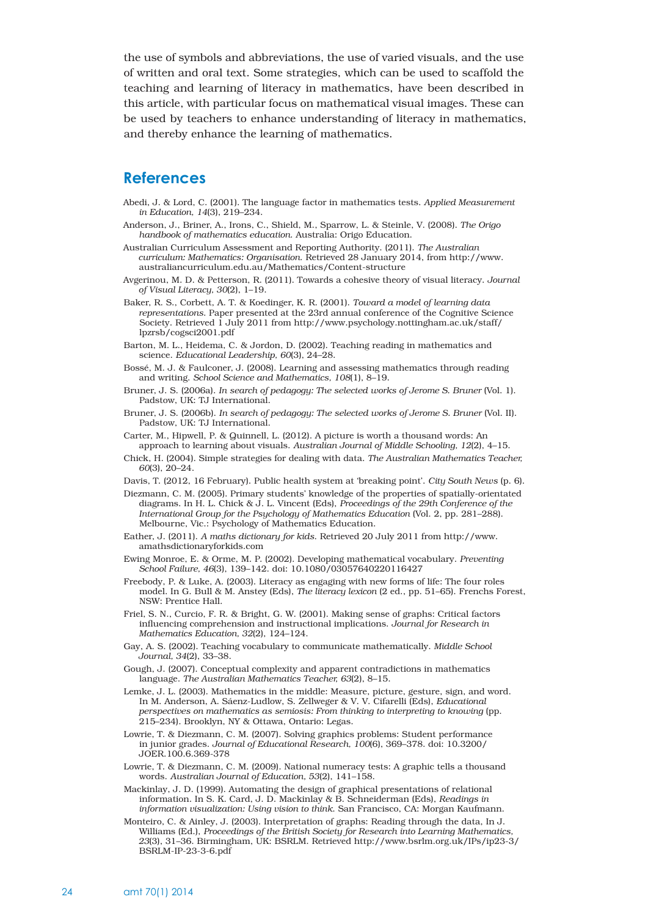the use of symbols and abbreviations, the use of varied visuals, and the use of written and oral text. Some strategies, which can be used to scaffold the teaching and learning of literacy in mathematics, have been described in this article, with particular focus on mathematical visual images. These can be used by teachers to enhance understanding of literacy in mathematics, and thereby enhance the learning of mathematics.

## **References**

- Abedi, J. & Lord, C. (2001). The language factor in mathematics tests. *Applied Measurement in Education, 14*(3), 219–234.
- Anderson, J., Briner, A., Irons, C., Shield, M., Sparrow, L. & Steinle, V. (2008). *The Origo handbook of mathematics education*. Australia: Origo Education.

Australian Curriculum Assessment and Reporting Authority. (2011). *The Australian curriculum: Mathematics: Organisation*. Retrieved 28 January 2014, from http://www. australiancurriculum.edu.au/Mathematics/Content-structure

- Avgerinou, M. D. & Petterson, R. (2011). Towards a cohesive theory of visual literacy. *Journal of Visual Literacy, 30*(2), 1–19.
- Baker, R. S., Corbett, A. T. & Koedinger, K. R. (2001). *Toward a model of learning data representations*. Paper presented at the 23rd annual conference of the Cognitive Science Society. Retrieved 1 July 2011 from http://www.psychology.nottingham.ac.uk/staff/ lpzrsb/cogsci2001.pdf
- Barton, M. L., Heidema, C. & Jordon, D. (2002). Teaching reading in mathematics and science. *Educational Leadership, 60*(3), 24–28.
- Bossé, M. J. & Faulconer, J. (2008). Learning and assessing mathematics through reading and writing. *School Science and Mathematics, 108*(1), 8–19.
- Bruner, J. S. (2006a). *In search of pedagogy: The selected works of Jerome S. Bruner* (Vol. 1). Padstow, UK: TJ International.
- Bruner, J. S. (2006b). *In search of pedagogy: The selected works of Jerome S. Bruner* (Vol. II). Padstow, UK: TJ International.
- Carter, M., Hipwell, P. & Quinnell, L. (2012). A picture is worth a thousand words: An approach to learning about visuals. *Australian Journal of Middle Schooling, 12*(2), 4–15.
- Chick, H. (2004). Simple strategies for dealing with data. *The Australian Mathematics Teacher, 60*(3), 20–24.
- Davis, T. (2012, 16 February). Public health system at 'breaking point'. *City South News* (p. 6).
- Diezmann, C. M. (2005). Primary students' knowledge of the properties of spatially-orientated diagrams. In H. L. Chick & J. L. Vincent (Eds), *Proceedings of the 29th Conference of the International Group for the Psychology of Mathematics Education* (Vol. 2, pp. 281–288). Melbourne, Vic.: Psychology of Mathematics Education.
- Eather, J. (2011). *A maths dictionary for kids*. Retrieved 20 July 2011 from http://www. amathsdictionaryforkids.com
- Ewing Monroe, E. & Orme, M. P. (2002). Developing mathematical vocabulary. *Preventing School Failure, 46*(3), 139–142. doi: 10.1080/03057640220116427
- Freebody, P. & Luke, A. (2003). Literacy as engaging with new forms of life: The four roles model. In G. Bull & M. Anstey (Eds), *The literacy lexicon* (2 ed., pp. 51–65). Frenchs Forest, NSW: Prentice Hall.
- Friel, S. N., Curcio, F. R. & Bright, G. W. (2001). Making sense of graphs: Critical factors influencing comprehension and instructional implications. *Journal for Research in Mathematics Education, 32*(2), 124–124.
- Gay, A. S. (2002). Teaching vocabulary to communicate mathematically. *Middle School Journal, 34*(2), 33–38.
- Gough, J. (2007). Conceptual complexity and apparent contradictions in mathematics language. *The Australian Mathematics Teacher, 63*(2), 8–15.
- Lemke, J. L. (2003). Mathematics in the middle: Measure, picture, gesture, sign, and word. In M. Anderson, A. Sáenz-Ludlow, S. Zellweger & V. V. Cifarelli (Eds), *Educational perspectives on mathematics as semiosis: From thinking to interpreting to knowing* (pp. 215–234). Brooklyn, NY & Ottawa, Ontario: Legas.
- Lowrie, T. & Diezmann, C. M. (2007). Solving graphics problems: Student performance in junior grades. *Journal of Educational Research, 100*(6), 369–378. doi: 10.3200/ JOER.100.6.369-378
- Lowrie, T. & Diezmann, C. M. (2009). National numeracy tests: A graphic tells a thousand words. *Australian Journal of Education, 53*(2), 141–158.
- Mackinlay, J. D. (1999). Automating the design of graphical presentations of relational information. In S. K. Card, J. D. Mackinlay & B. Schneiderman (Eds), *Readings in information visualization: Using vision to think*. San Francisco, CA: Morgan Kaufmann.
- Monteiro, C. & Ainley, J. (2003). Interpretation of graphs: Reading through the data, In J. Williams (Ed.), *Proceedings of the British Society for Research into Learning Mathematics, 23*(3), 31–36. Birmingham, UK: BSRLM. Retrieved http://www.bsrlm.org.uk/IPs/ip23-3/ BSRLM-IP-23-3-6.pdf